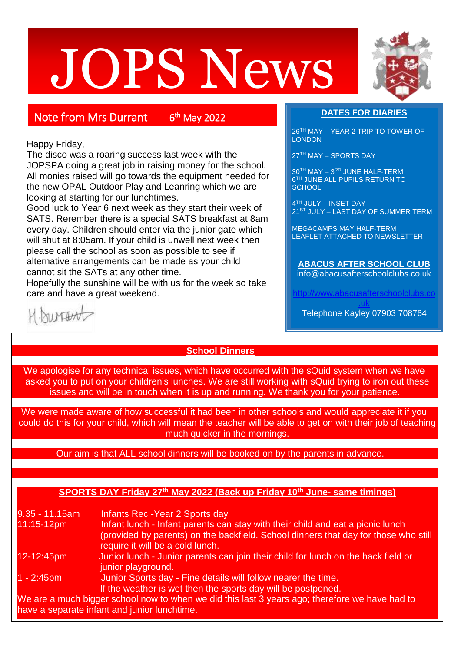# JOPS News



# Note from Mrs Durrant 6

<sup>th</sup> May 2022

### Happy Friday,

The disco was a roaring success last week with the JOPSPA doing a great job in raising money for the school. All monies raised will go towards the equipment needed for the new OPAL Outdoor Play and Leanring which we are looking at starting for our lunchtimes.

Good luck to Year 6 next week as they start their week of SATS. Rerember there is a special SATS breakfast at 8am every day. Children should enter via the junior gate which will shut at 8:05am. If your child is unwell next week then please call the school as soon as possible to see if alternative arrangements can be made as your child cannot sit the SATs at any other time.

Hopefully the sunshine will be with us for the week so take care and have a great weekend.

# **DATES FOR DIARIES**

26TH MAY – YEAR 2 TRIP TO TOWER OF **LONDON** 

27TH MAY – SPORTS DAY

30<sup>TH</sup> MAY - 3RD JUNE HALF-TERM 6 TH JUNE ALL PUPILS RETURN TO **SCHOOL** 

4 TH JULY – INSET DAY 21<sup>ST</sup> JULY – LAST DAY OF SUMMER TERM

MEGACAMPS MAY HALF-TERM LEAFLET ATTACHED TO NEWSLETTER

**ABACUS AFTER SCHOOL CLUB** info@abacusafterschoolclubs.co.uk

httwww.abacusafterschoolclubs.

[.uk](http://www.abacusafterschoolclubs.co.uk/) Telephone Kayley 07903 708764

# surtant

# **School Dinners**

We apologise for any technical issues, which have occurred with the sQuid system when we have asked you to put on your children's lunches. We are still working with sQuid trying to iron out these issues and will be in touch when it is up and running. We thank you for your patience.

We were made aware of how successful it had been in other schools and would appreciate it if you could do this for your child, which will mean the teacher will be able to get on with their job of teaching much quicker in the mornings.

#### Our aim is that ALL school dinners will be booked on by the parents in advance.

## **SPORTS DAY Friday 27th May 2022 (Back up Friday 10th June- same timings)**

9.35 - 11.15am Infants Rec -Year 2 Sports day 11:15-12pm Infant lunch - Infant parents can stay with their child and eat a picnic lunch (provided by parents) on the backfield. School dinners that day for those who still require it will be a cold lunch. 12-12:45pm Junior lunch - Junior parents can join their child for lunch on the back field or junior playground. 1 - 2:45pm Junior Sports day - Fine details will follow nearer the time. If the weather is wet then the sports day will be postponed. We are a much bigger school now to when we did this last 3 years ago; therefore we have had to have a separate infant and junior lunchtime.